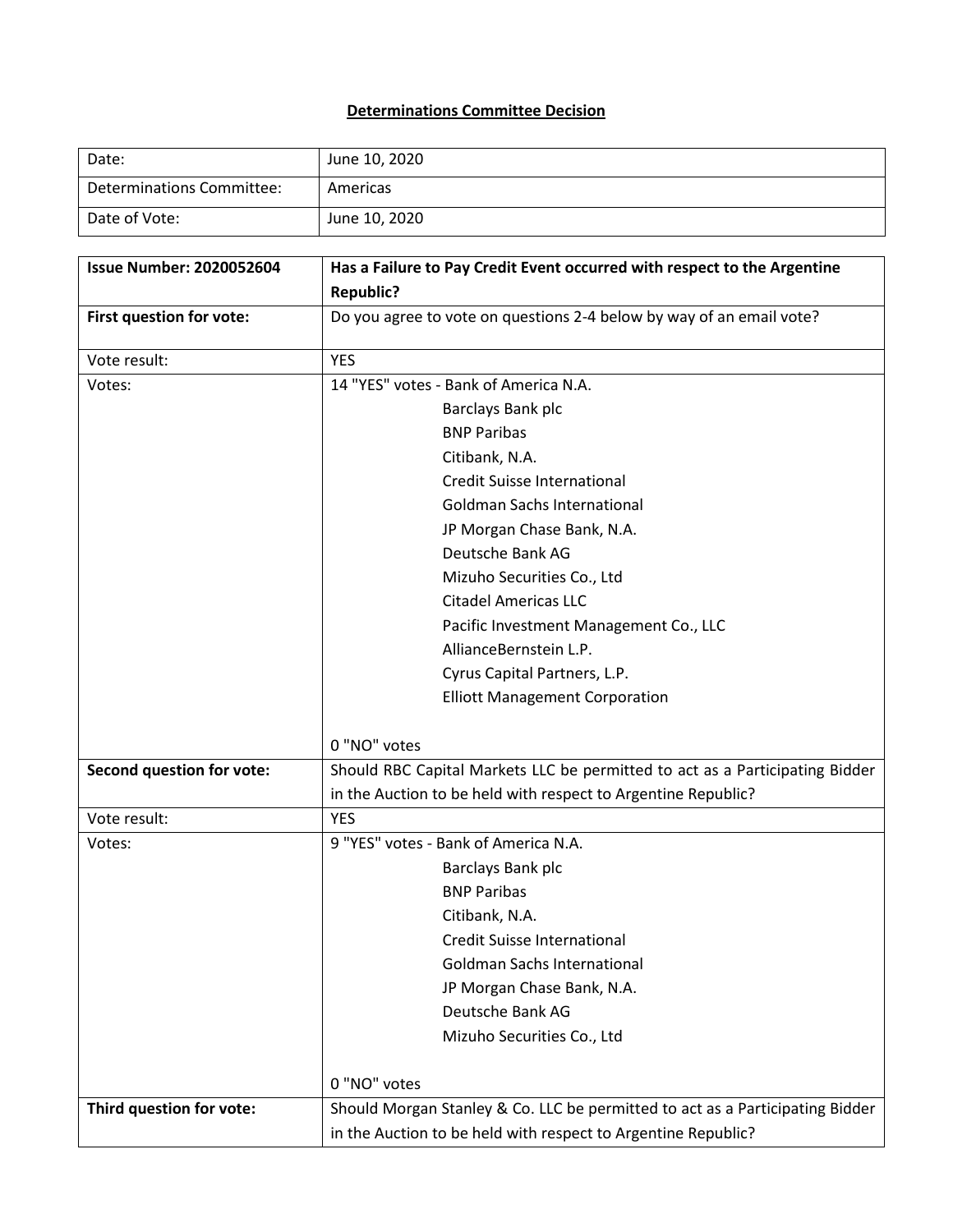## **Determinations Committee Decision**

| Date:                     | June 10, 2020 |
|---------------------------|---------------|
| Determinations Committee: | Americas      |
| Date of Vote:             | June 10, 2020 |

| <b>Issue Number: 2020052604</b>  | Has a Failure to Pay Credit Event occurred with respect to the Argentine      |
|----------------------------------|-------------------------------------------------------------------------------|
|                                  | <b>Republic?</b>                                                              |
| First question for vote:         | Do you agree to vote on questions 2-4 below by way of an email vote?          |
| Vote result:                     | <b>YES</b>                                                                    |
| Votes:                           | 14 "YES" votes - Bank of America N.A.                                         |
|                                  | Barclays Bank plc                                                             |
|                                  | <b>BNP Paribas</b>                                                            |
|                                  | Citibank, N.A.                                                                |
|                                  | <b>Credit Suisse International</b>                                            |
|                                  | <b>Goldman Sachs International</b>                                            |
|                                  | JP Morgan Chase Bank, N.A.                                                    |
|                                  | Deutsche Bank AG                                                              |
|                                  | Mizuho Securities Co., Ltd                                                    |
|                                  | <b>Citadel Americas LLC</b>                                                   |
|                                  | Pacific Investment Management Co., LLC                                        |
|                                  | AllianceBernstein L.P.                                                        |
|                                  | Cyrus Capital Partners, L.P.                                                  |
|                                  | <b>Elliott Management Corporation</b>                                         |
|                                  |                                                                               |
|                                  | 0 "NO" votes                                                                  |
| <b>Second question for vote:</b> | Should RBC Capital Markets LLC be permitted to act as a Participating Bidder  |
|                                  | in the Auction to be held with respect to Argentine Republic?                 |
| Vote result:                     | <b>YES</b>                                                                    |
| Votes:                           | 9 "YES" votes - Bank of America N.A.                                          |
|                                  | Barclays Bank plc                                                             |
|                                  | <b>BNP Paribas</b>                                                            |
|                                  | Citibank, N.A.                                                                |
|                                  | <b>Credit Suisse International</b>                                            |
|                                  | <b>Goldman Sachs International</b>                                            |
|                                  | JP Morgan Chase Bank, N.A.                                                    |
|                                  | Deutsche Bank AG                                                              |
|                                  | Mizuho Securities Co., Ltd                                                    |
|                                  | 0 "NO" votes                                                                  |
| Third question for vote:         | Should Morgan Stanley & Co. LLC be permitted to act as a Participating Bidder |
|                                  | in the Auction to be held with respect to Argentine Republic?                 |